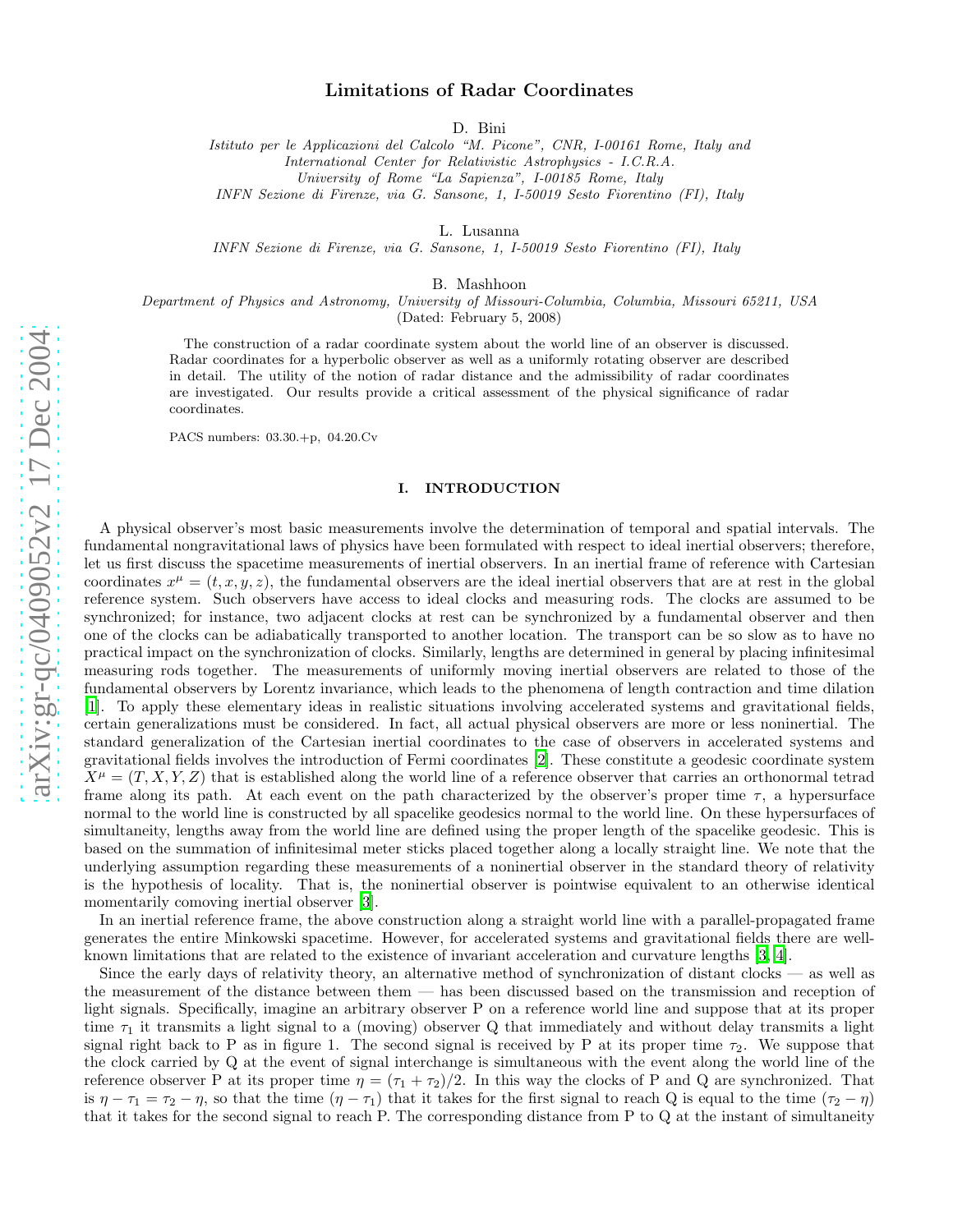# Limitations of Radar Coordinates

D. Bini

*Istituto per le Applicazioni del Calcolo "M. Picone", CNR, I-00161 Rome, Italy and International Center for Relativistic Astrophysics - I.C.R.A.*

*University of Rome "La Sapienza", I-00185 Rome, Italy*

*INFN Sezione di Firenze, via G. Sansone, 1, I-50019 Sesto Fiorentino (FI), Italy*

L. Lusanna

*INFN Sezione di Firenze, via G. Sansone, 1, I-50019 Sesto Fiorentino (FI), Italy*

B. Mashhoon

*Department of Physics and Astronomy, University of Missouri-Columbia, Columbia, Missouri 65211, USA* (Dated: February 5, 2008)

The construction of a radar coordinate system about the world line of an observer is discussed. Radar coordinates for a hyperbolic observer as well as a uniformly rotating observer are described in detail. The utility of the notion of radar distance and the admissibility of radar coordinates are investigated. Our results provide a critical assessment of the physical significance of radar coordinates.

PACS numbers: 03.30.+p, 04.20.Cv

## I. INTRODUCTION

A physical observer's most basic measurements involve the determination of temporal and spatial intervals. The fundamental nongravitational laws of physics have been formulated with respect to ideal inertial observers; therefore, let us first discuss the spacetime measurements of inertial observers. In an inertial frame of reference with Cartesian coordinates  $x^{\mu} = (t, x, y, z)$ , the fundamental observers are the ideal inertial observers that are at rest in the global reference system. Such observers have access to ideal clocks and measuring rods. The clocks are assumed to be synchronized; for instance, two adjacent clocks at rest can be synchronized by a fundamental observer and then one of the clocks can be adiabatically transported to another location. The transport can be so slow as to have no practical impact on the synchronization of clocks. Similarly, lengths are determined in general by placing infinitesimal measuring rods together. The measurements of uniformly moving inertial observers are related to those of the fundamental observers by Lorentz invariance, which leads to the phenomena of length contraction and time dilation [\[1\]](#page-10-0). To apply these elementary ideas in realistic situations involving accelerated systems and gravitational fields, certain generalizations must be considered. In fact, all actual physical observers are more or less noninertial. The standard generalization of the Cartesian inertial coordinates to the case of observers in accelerated systems and gravitational fields involves the introduction of Fermi coordinates [\[2\]](#page-10-1). These constitute a geodesic coordinate syste m  $X^{\mu} = (T, X, Y, Z)$  that is established along the world line of a reference observer that carries an orthonormal tetrad frame along its path. At each event on the path characterized by the observer's proper time  $\tau$ , a hypersurface normal to the world line is constructed by all spacelike geodesics normal to the world line. On these hypersurfaces of simultaneity, lengths away from the world line are defined using the proper length of the spacelike geodesic. This is based on the summation of infinitesimal meter sticks placed together along a locally straight line. We note that the underlying assumption regarding these measurements of a noninertial observer in the standard theory of relativity is the hypothesis of locality. That is, the noninertial observer is pointwise equivalent to an otherwise identical momentarily comoving inertial observer [\[3\]](#page-10-2).

In an inertial reference frame, the above construction along a straight world line with a parallel-propagated frame generates the entire Minkowski spacetime. However, for accelerated systems and gravitational fields there are wellknown limitations that are related to the existence of invariant acceleration and curvature lengths [\[3,](#page-10-2) [4\]](#page-10-3).

Since the early days of relativity theory, an alternative method of synchronization of distant clocks — as well as the measurement of the distance between them — has been discussed based on the transmission and reception of light signals. Specifically, imagine an arbitrary observer P on a reference world line and suppose that at its proper time  $\tau_1$  it transmits a light signal to a (moving) observer Q that immediately and without delay transmits a light signal right back to P as in figure 1. The second signal is received by P at its proper time  $\tau_2$ . We suppose that the clock carried by Q at the event of signal interchange is simultaneous with the event along the world line of the reference observer P at its proper time  $\eta = (\tau_1 + \tau_2)/2$ . In this way the clocks of P and Q are synchronized. That is  $\eta - \tau_1 = \tau_2 - \eta$ , so that the time  $(\eta - \tau_1)$  that it takes for the first signal to reach Q is equal to the time  $(\tau_2 - \eta)$ that it takes for the second signal to reach P. The corresponding distance from P to Q at the instant of simultaneity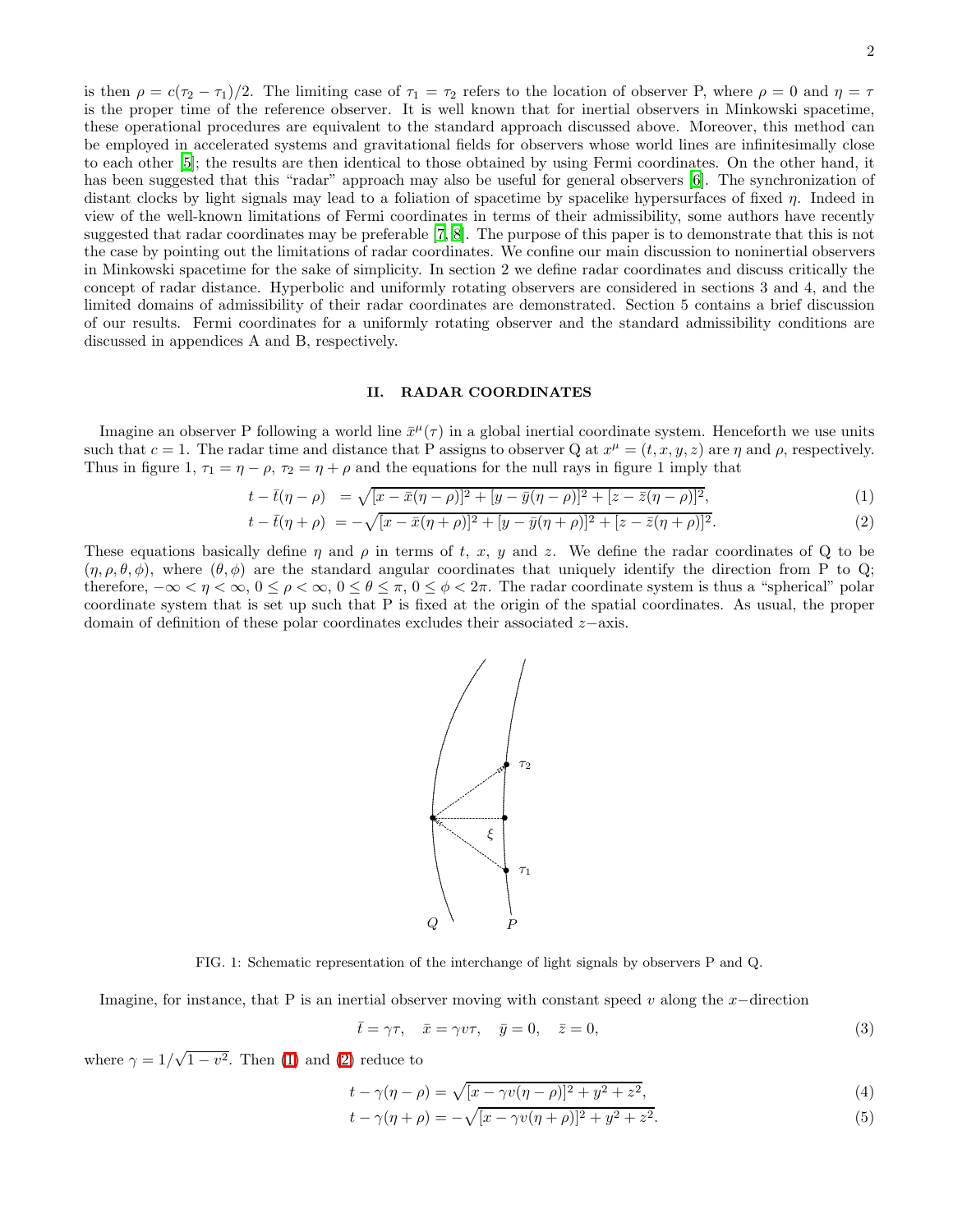is then  $\rho = c(\tau_2 - \tau_1)/2$ . The limiting case of  $\tau_1 = \tau_2$  refers to the location of observer P, where  $\rho = 0$  and  $\eta = \tau$ is the proper time of the reference observer. It is well known that for inertial observers in Minkowski spacetime, these operational procedures are equivalent to the standard approach discussed above. Moreover, this method can be employed in accelerated systems and gravitational fields for observers whose world lines are infinitesimally close to each other [\[5\]](#page-10-4); the results are then identical to those obtained by using Fermi coordinates. On the other hand, it has been suggested that this "radar" approach may also be useful for general observers [\[6](#page-10-5)]. The synchronization of distant clocks by light signals may lead to a foliation of spacetime by spacelike hypersurfaces of fixed  $\eta$ . Indeed in view of the well-known limitations of Fermi coordinates in terms of their admissibility, some authors have recently suggested that radar coordinates may be preferable [\[7,](#page-10-6) [8\]](#page-10-7). The purpose of this paper is to demonstrate that this is not the case by pointing out the limitations of radar coordinates. We confine our main discussion to noninertial observers in Minkowski spacetime for the sake of simplicity. In section 2 we define radar coordinates and discuss critically the concept of radar distance. Hyperbolic and uniformly rotating observers are considered in sections 3 and 4, and the limited domains of admissibility of their radar coordinates are demonstrated. Section 5 contains a brief discussion of our results. Fermi coordinates for a uniformly rotating observer and the standard admissibility conditions are discussed in appendices A and B, respectively.

### II. RADAR COORDINATES

Imagine an observer P following a world line  $\bar{x}^{\mu}(\tau)$  in a global inertial coordinate system. Henceforth we use units such that  $c = 1$ . The radar time and distance that P assigns to observer Q at  $x^{\mu} = (t, x, y, z)$  are  $\eta$  and  $\rho$ , respectively. Thus in figure 1,  $\tau_1 = \eta - \rho$ ,  $\tau_2 = \eta + \rho$  and the equations for the null rays in figure 1 imply that

$$
t - \bar{t}(\eta - \rho) = \sqrt{[x - \bar{x}(\eta - \rho)]^2 + [y - \bar{y}(\eta - \rho)]^2 + [z - \bar{z}(\eta - \rho)]^2},
$$
\n(1)

$$
t - \bar{t}(\eta + \rho) = -\sqrt{[x - \bar{x}(\eta + \rho)]^2 + [y - \bar{y}(\eta + \rho)]^2 + [z - \bar{z}(\eta + \rho)]^2}.
$$
 (2)

<span id="page-1-0"></span>These equations basically define  $\eta$  and  $\rho$  in terms of t, x, y and z. We define the radar coordinates of Q to be  $(\eta, \rho, \theta, \phi)$ , where  $(\theta, \phi)$  are the standard angular coordinates that uniquely identify the direction from P to Q; therefore,  $-\infty < \eta < \infty$ ,  $0 \le \rho < \infty$ ,  $0 \le \theta \le \pi$ ,  $0 \le \phi < 2\pi$ . The radar coordinate system is thus a "spherical" polar coordinate system that is set up such that P is fixed at the origin of the spatial coordinates. As usual, the proper domain of definition of these polar coordinates excludes their associated z−axis.



FIG. 1: Schematic representation of the interchange of light signals by observers P and Q.

Imagine, for instance, that P is an inertial observer moving with constant speed v along the  $x$ -direction

$$
\bar{t} = \gamma \tau, \quad \bar{x} = \gamma v \tau, \quad \bar{y} = 0, \quad \bar{z} = 0,
$$
\n(3)

<span id="page-1-1"></span>where  $\gamma = 1/\sqrt{1 - v^2}$ . Then [\(1\)](#page-1-0) and [\(2\)](#page-1-0) reduce to

$$
t - \gamma(\eta - \rho) = \sqrt{[x - \gamma v(\eta - \rho)]^2 + y^2 + z^2},\tag{4}
$$

$$
t - \gamma(\eta + \rho) = -\sqrt{[x - \gamma v(\eta + \rho)]^2 + y^2 + z^2}.
$$
\n(5)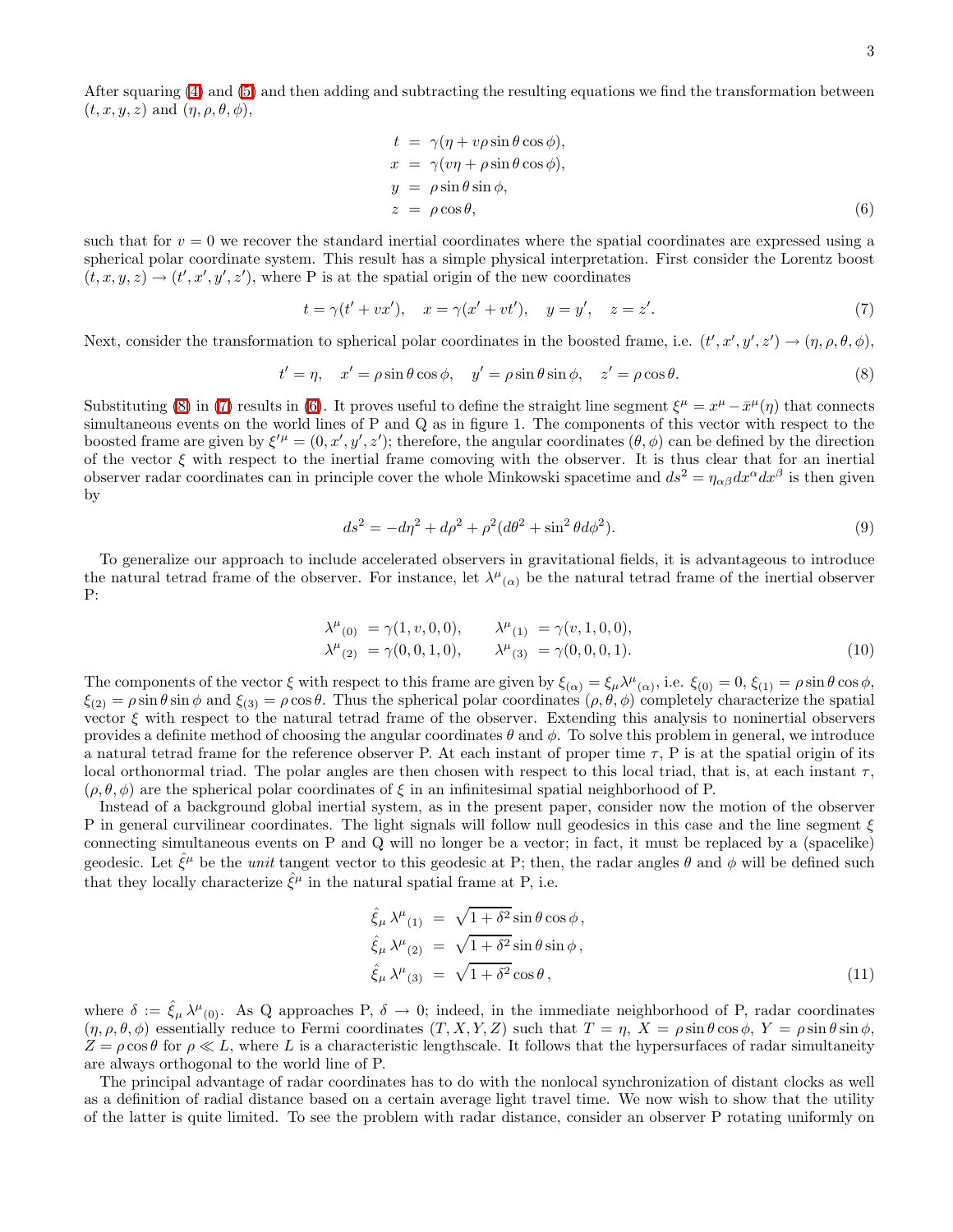After squaring [\(4\)](#page-1-1) and [\(5\)](#page-1-1) and then adding and subtracting the resulting equations we find the transformation between  $(t, x, y, z)$  and  $(\eta, \rho, \theta, \phi)$ ,

<span id="page-2-2"></span>
$$
t = \gamma(\eta + v\rho\sin\theta\cos\phi),
$$
  
\n
$$
x = \gamma(v\eta + \rho\sin\theta\cos\phi),
$$
  
\n
$$
y = \rho\sin\theta\sin\phi,
$$
  
\n
$$
z = \rho\cos\theta,
$$
\n(6)

such that for  $v = 0$  we recover the standard inertial coordinates where the spatial coordinates are expressed using a spherical polar coordinate system. This result has a simple physical interpretation. First consider the Lorentz boost  $(t, x, y, z) \rightarrow (t', x', y', z')$ , where P is at the spatial origin of the new coordinates

<span id="page-2-1"></span>
$$
t = \gamma(t' + vx'), \quad x = \gamma(x' + vt'), \quad y = y', \quad z = z'.
$$
 (7)

<span id="page-2-0"></span>Next, consider the transformation to spherical polar coordinates in the boosted frame, i.e.  $(t', x', y', z') \rightarrow (\eta, \rho, \theta, \phi)$ ,

$$
t' = \eta, \quad x' = \rho \sin \theta \cos \phi, \quad y' = \rho \sin \theta \sin \phi, \quad z' = \rho \cos \theta.
$$
 (8)

Substituting [\(8\)](#page-2-0) in [\(7\)](#page-2-1) results in [\(6\)](#page-2-2). It proves useful to define the straight line segment  $\xi^{\mu} = x^{\mu} - \bar{x}^{\mu}(\eta)$  that connects simultaneous events on the world lines of P and Q as in figure 1. The components of this vector with respect to the boosted frame are given by  $\xi^{\prime\mu} = (0, x', y', z')$ ; therefore, the angular coordinates  $(\theta, \phi)$  can be defined by the direction of the vector  $\xi$  with respect to the inertial frame comoving with the observer. It is thus clear that for an inertial observer radar coordinates can in principle cover the whole Minkowski spacetime and  $ds^2 = \eta_{\alpha\beta} dx^\alpha dx^\beta$  is then given by

$$
ds^{2} = -d\eta^{2} + d\rho^{2} + \rho^{2}(d\theta^{2} + \sin^{2}\theta d\phi^{2}).
$$
\n(9)

To generalize our approach to include accelerated observers in gravitational fields, it is advantageous to introduce the natural tetrad frame of the observer. For instance, let  $\lambda^{\mu}{}_{(\alpha)}$  be the natural tetrad frame of the inertial observer P:

$$
\lambda^{\mu}_{(0)} = \gamma(1, v, 0, 0), \qquad \lambda^{\mu}_{(1)} = \gamma(v, 1, 0, 0), \lambda^{\mu}_{(2)} = \gamma(0, 0, 1, 0), \qquad \lambda^{\mu}_{(3)} = \gamma(0, 0, 0, 1).
$$
\n(10)

The components of the vector  $\xi$  with respect to this frame are given by  $\xi_{(\alpha)} = \xi_{\mu} \lambda^{\mu}{}_{(\alpha)}$ , i.e.  $\xi_{(0)} = 0$ ,  $\xi_{(1)} = \rho \sin \theta \cos \phi$ ,  $\xi_{(2)} = \rho \sin \theta \sin \phi$  and  $\xi_{(3)} = \rho \cos \theta$ . Thus the spherical polar coordinates  $(\rho, \theta, \phi)$  completely characterize the spatial vector  $\xi$  with respect to the natural tetrad frame of the observer. Extending this analysis to noninertial observers provides a definite method of choosing the angular coordinates  $\theta$  and  $\phi$ . To solve this problem in general, we introduce a natural tetrad frame for the reference observer P. At each instant of proper time  $\tau$ , P is at the spatial origin of its local orthonormal triad. The polar angles are then chosen with respect to this local triad, that is, at each instant  $\tau$ ,  $(\rho, \theta, \phi)$  are the spherical polar coordinates of  $\xi$  in an infinitesimal spatial neighborhood of P.

Instead of a background global inertial system, as in the present paper, consider now the motion of the observer P in general curvilinear coordinates. The light signals will follow null geodesics in this case and the line segment  $\xi$ connecting simultaneous events on P and Q will no longer be a vector; in fact, it must be replaced by a (spacelike) geodesic. Let  $\hat{\xi}^{\mu}$  be the *unit* tangent vector to this geodesic at P; then, the radar angles  $\theta$  and  $\phi$  will be defined such that they locally characterize  $\hat{\xi}^{\mu}$  in the natural spatial frame at P, i.e.

$$
\hat{\xi}_{\mu} \lambda^{\mu}{}_{(1)} = \sqrt{1 + \delta^2} \sin \theta \cos \phi, \n\hat{\xi}_{\mu} \lambda^{\mu}{}_{(2)} = \sqrt{1 + \delta^2} \sin \theta \sin \phi, \n\hat{\xi}_{\mu} \lambda^{\mu}{}_{(3)} = \sqrt{1 + \delta^2} \cos \theta,
$$
\n(11)

where  $\delta := \hat{\xi}_{\mu} \lambda^{\mu}(0)$ . As Q approaches P,  $\delta \to 0$ ; indeed, in the immediate neighborhood of P, radar coordinates  $(\eta, \rho, \theta, \phi)$  essentially reduce to Fermi coordinates  $(T, X, Y, Z)$  such that  $T = \eta$ ,  $X = \rho \sin \theta \cos \phi$ ,  $Y = \rho \sin \theta \sin \phi$ ,  $Z = \rho \cos \theta$  for  $\rho \ll L$ , where L is a characteristic lengthscale. It follows that the hypersurfaces of radar simultaneity are always orthogonal to the world line of P.

The principal advantage of radar coordinates has to do with the nonlocal synchronization of distant clocks as well as a definition of radial distance based on a certain average light travel time. We now wish to show that the utility of the latter is quite limited. To see the problem with radar distance, consider an observer P rotating uniformly on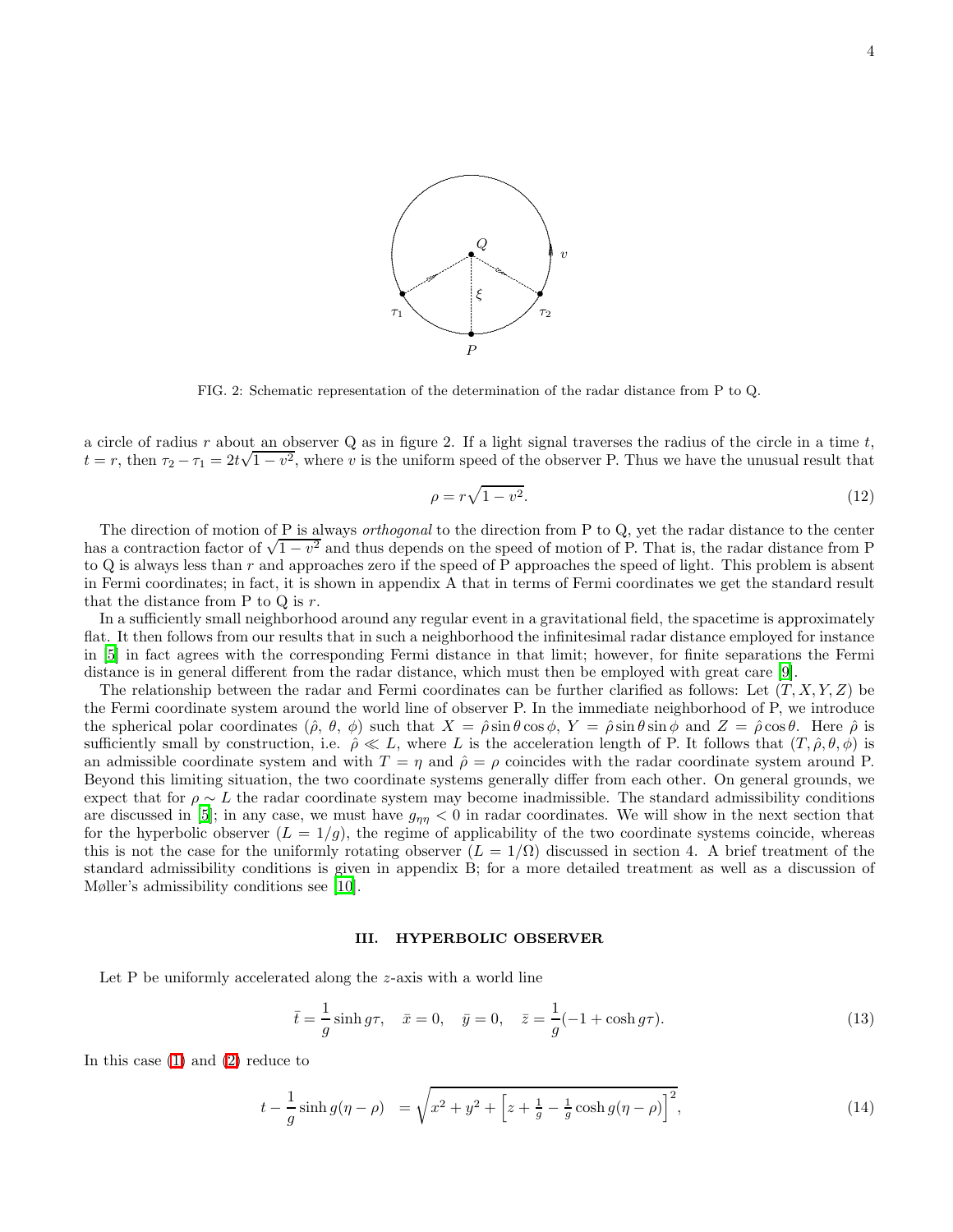

FIG. 2: Schematic representation of the determination of the radar distance from P to Q.

a circle of radius  $r$  about an observer Q as in figure 2. If a light signal traverses the radius of the circle in a time  $t$ ,  $t = r$ , then  $\tau_2 - \tau_1 = 2t\sqrt{1 - v^2}$ , where v is the uniform speed of the observer P. Thus we have the unusual result that

$$
\rho = r\sqrt{1 - v^2}.\tag{12}
$$

The direction of motion of P is always *orthogonal* to the direction from P to Q, yet the radar distance to the center has a contraction factor of  $\sqrt{1-v^2}$  and thus depends on the speed of motion of P. That is, the radar distance from P to Q is always less than  $r$  and approaches zero if the speed of P approaches the speed of light. This problem is absent in Fermi coordinates; in fact, it is shown in appendix A that in terms of Fermi coordinates we get the standard result that the distance from  $P$  to  $Q$  is  $r$ .

In a sufficiently small neighborhood around any regular event in a gravitational field, the spacetime is approximately flat. It then follows from our results that in such a neighborhood the infinitesimal radar distance employed for instance in [5] in fact agrees with the corresponding Fermi distance in that limit; however, for finite separations the Fermi distance is in general different from the radar distance, which must then be employed with great care [9].

The relationship between the radar and Fermi coordinates can be further clarified as follows: Let  $(T, X, Y, Z)$  be the Fermi coordinate system around the world line of observer P. In the immediate neighborhood of P, we introduce the spherical polar coordinates  $(\hat{\rho}, \theta, \phi)$  such that  $X = \hat{\rho} \sin \theta \cos \phi$ ,  $Y = \hat{\rho} \sin \theta \sin \phi$  and  $Z = \hat{\rho} \cos \theta$ . Here  $\hat{\rho}$  is sufficiently small by construction, i.e.  $\hat{\rho} \ll L$ , where L is the acceleration length of P. It follows that  $(T, \hat{\rho}, \theta, \phi)$  is an admissible coordinate system and with  $T = \eta$  and  $\hat{\rho} = \rho$  coincides with the radar coordinate system around P. Beyond this limiting situation, the two coordinate systems generally differ from each other. On general grounds, we expect that for  $\rho \sim L$  the radar coordinate system may become inadmissible. The standard admissibility conditions are discussed in [5]; in any case, we must have  $g_{\eta\eta} < 0$  in radar coordinates. We will show in the next section that for the hyperbolic observer  $(L = 1/q)$ , the regime of applicability of the two coordinate systems coincide, whereas this is not the case for the uniformly rotating observer  $(L = 1/\Omega)$  discussed in section 4. A brief treatment of the standard admissibility conditions is given in appendix B; for a more detailed treatment as well as a discussion of Møller's admissibility conditions see [10].

#### III. **HYPERBOLIC OBSERVER**

<span id="page-3-0"></span>Let P be uniformly accelerated along the  $z$ -axis with a world line

$$
\bar{t} = -\frac{1}{g}\sinh g\tau, \quad \bar{x} = 0, \quad \bar{y} = 0, \quad \bar{z} = -\frac{1}{g}(-1 + \cosh g\tau). \tag{13}
$$

In this case  $(1)$  and  $(2)$  reduce to

$$
t - \frac{1}{g}\sinh g(\eta - \rho) = \sqrt{x^2 + y^2 + \left[z + \frac{1}{g} - \frac{1}{g}\cosh g(\eta - \rho)\right]^2},\tag{14}
$$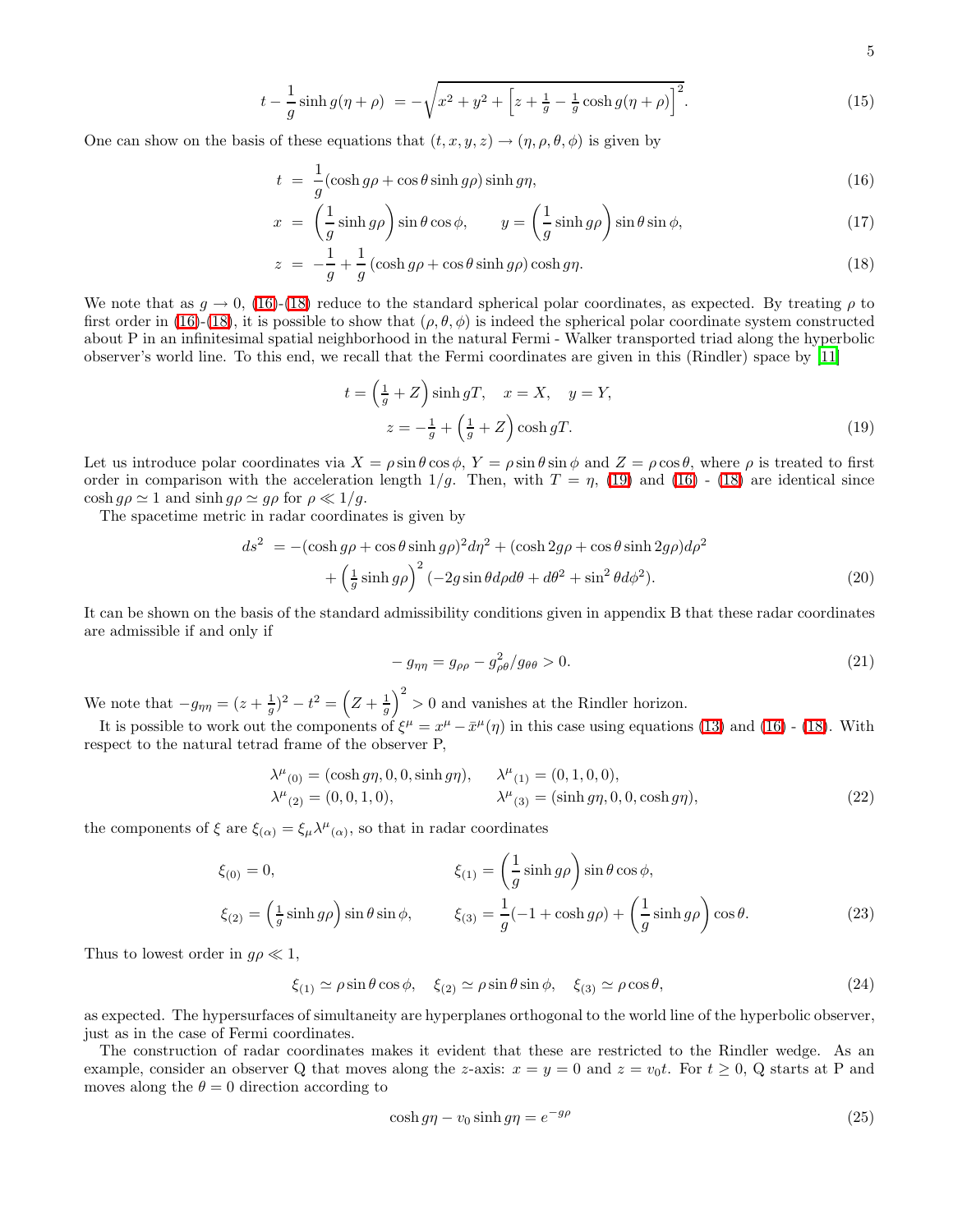$$
\overline{5}
$$

$$
t - \frac{1}{g}\sinh g(\eta + \rho) = -\sqrt{x^2 + y^2 + \left[z + \frac{1}{g} - \frac{1}{g}\cosh g(\eta + \rho)\right]^2}.
$$
 (15)

<span id="page-4-0"></span>One can show on the basis of these equations that  $(t, x, y, z) \rightarrow (\eta, \rho, \theta, \phi)$  is given by

$$
t = \frac{1}{g} (\cosh g \rho + \cos \theta \sinh g \rho) \sinh g \eta,
$$
\n(16)

$$
x = \left(\frac{1}{g}\sinh g\rho\right)\sin\theta\cos\phi, \qquad y = \left(\frac{1}{g}\sinh g\rho\right)\sin\theta\sin\phi,\tag{17}
$$

$$
z = -\frac{1}{g} + \frac{1}{g} \left( \cosh g \rho + \cos \theta \sinh g \rho \right) \cosh g \eta. \tag{18}
$$

We note that as  $q \to 0$ , [\(16\)](#page-4-0)-[\(18\)](#page-4-0) reduce to the standard spherical polar coordinates, as expected. By treating  $\rho$  to first order in [\(16\)](#page-4-0)-[\(18\)](#page-4-0), it is possible to show that  $(\rho, \theta, \phi)$  is indeed the spherical polar coordinate system constructed about P in an infinitesimal spatial neighborhood in the natural Fermi - Walker transported triad along the hyperbolic observer's world line. To this end, we recall that the Fermi coordinates are given in this (Rindler) space by [\[11\]](#page-10-10)

<span id="page-4-1"></span>
$$
t = \left(\frac{1}{g} + Z\right) \sinh gT, \quad x = X, \quad y = Y,
$$
  

$$
z = -\frac{1}{g} + \left(\frac{1}{g} + Z\right) \cosh gT.
$$
 (19)

Let us introduce polar coordinates via  $X = \rho \sin \theta \cos \phi$ ,  $Y = \rho \sin \theta \sin \phi$  and  $Z = \rho \cos \theta$ , where  $\rho$  is treated to first order in comparison with the acceleration length  $1/g$ . Then, with  $T = \eta$ , [\(19\)](#page-4-1) and [\(16\)](#page-4-0) - [\(18\)](#page-4-0) are identical since  $\cosh g \rho \simeq 1$  and  $\sinh g \rho \simeq g \rho$  for  $\rho \ll 1/g$ .

The spacetime metric in radar coordinates is given by

$$
ds^{2} = -(\cosh g\rho + \cos\theta \sinh g\rho)^{2}d\eta^{2} + (\cosh 2g\rho + \cos\theta \sinh 2g\rho)d\rho^{2} + \left(\frac{1}{g}\sinh g\rho\right)^{2}(-2g\sin\theta d\rho d\theta + d\theta^{2} + \sin^{2}\theta d\phi^{2}).
$$
\n(20)

It can be shown on the basis of the standard admissibility conditions given in appendix B that these radar coordinates are admissible if and only if

$$
-g_{\eta\eta} = g_{\rho\rho} - g_{\rho\theta}^2/g_{\theta\theta} > 0. \tag{21}
$$

We note that  $-g_{\eta\eta} = (z + \frac{1}{g})^2 - t^2 = (z + \frac{1}{g})^2 > 0$  and vanishes at the Rindler horizon.

It is possible to work out the components of  $\xi^{\mu} = x^{\mu} - \bar{x}^{\mu}(\eta)$  in this case using equations [\(13\)](#page-3-0) and [\(16\)](#page-4-0) - [\(18\)](#page-4-0). With respect to the natural tetrad frame of the observer P,

$$
\lambda^{\mu}(0) = (\cosh g\eta, 0, 0, \sinh g\eta), \quad \lambda^{\mu}(1) = (0, 1, 0, 0), \lambda^{\mu}(2) = (0, 0, 1, 0), \quad \lambda^{\mu}(3) = (\sinh g\eta, 0, 0, \cosh g\eta),
$$
\n(22)

the components of  $\xi$  are  $\xi_{(\alpha)} = \xi_{\mu} \lambda^{\mu}{}_{(\alpha)}$ , so that in radar coordinates

$$
\xi_{(0)} = 0, \qquad \xi_{(1)} = \left(\frac{1}{g}\sinh g\rho\right)\sin\theta\cos\phi,
$$
  

$$
\xi_{(2)} = \left(\frac{1}{g}\sinh g\rho\right)\sin\theta\sin\phi, \qquad \xi_{(3)} = \frac{1}{g}(-1+\cosh g\rho) + \left(\frac{1}{g}\sinh g\rho\right)\cos\theta.
$$
 (23)

Thus to lowest order in  $g\rho \ll 1$ ,

$$
\xi_{(1)} \simeq \rho \sin \theta \cos \phi, \quad \xi_{(2)} \simeq \rho \sin \theta \sin \phi, \quad \xi_{(3)} \simeq \rho \cos \theta,\tag{24}
$$

as expected. The hypersurfaces of simultaneity are hyperplanes orthogonal to the world line of the hyperbolic observer, just as in the case of Fermi coordinates.

The construction of radar coordinates makes it evident that these are restricted to the Rindler wedge. As an example, consider an observer Q that moves along the z-axis:  $x = y = 0$  and  $z = v_0 t$ . For  $t \ge 0$ , Q starts at P and moves along the  $\theta = 0$  direction according to

$$
\cosh g\eta - v_0 \sinh g\eta = e^{-g\rho} \tag{25}
$$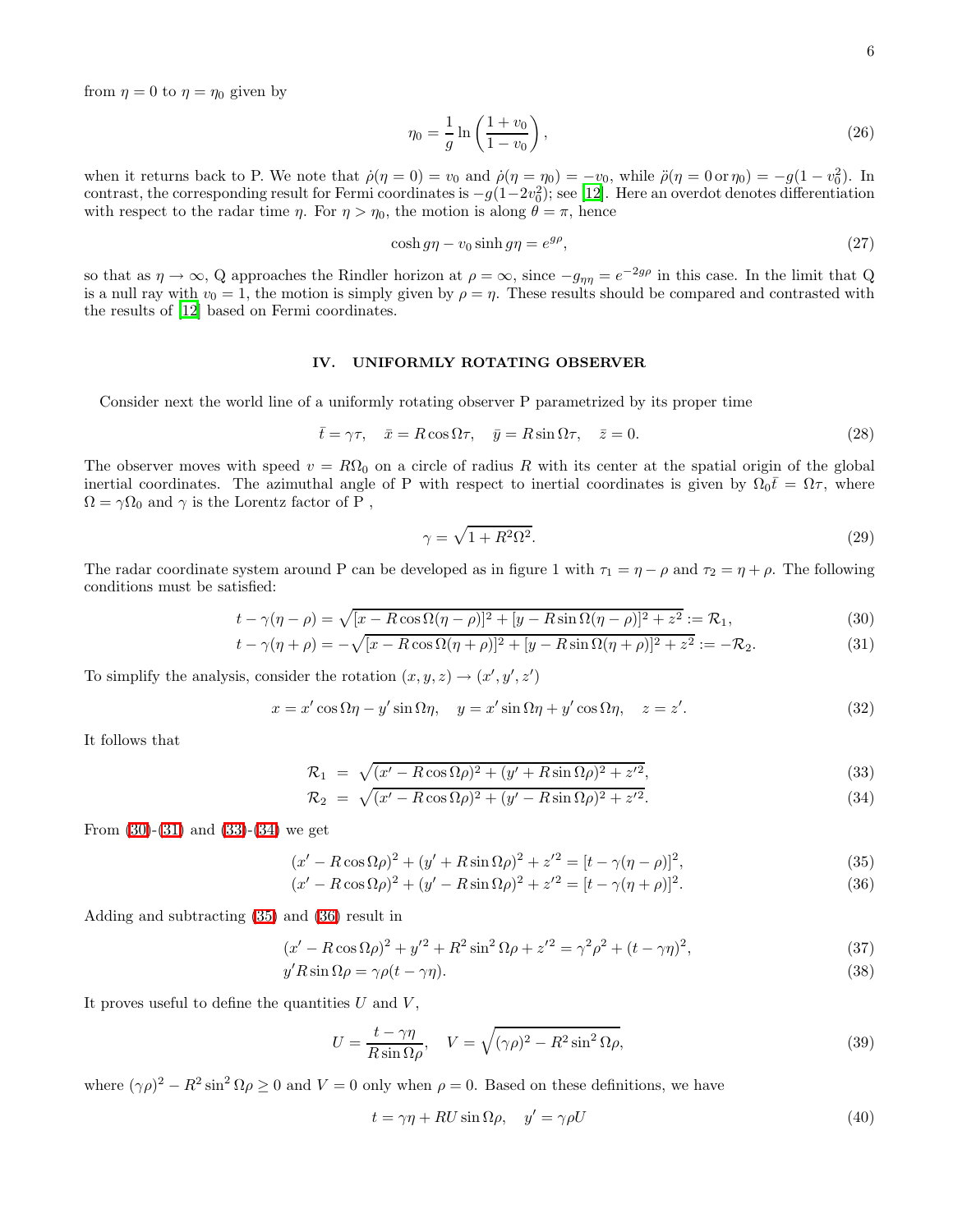from  $\eta = 0$  to  $\eta = \eta_0$  given by

$$
\eta_0 = \frac{1}{g} \ln \left( \frac{1 + v_0}{1 - v_0} \right),\tag{26}
$$

when it returns back to P. We note that  $\rho(\eta = 0) = v_0$  and  $\rho(\eta = \eta_0) = -v_0$ , while  $\rho(\eta = 0 \text{ or } \eta_0) = -g(1 - v_0^2)$ . In contrast, the corresponding result for Fermi coordinates is  $-g(1-2v_0^2)$ ; see [\[12](#page-10-11)]. Here an overdot denotes differentiation with respect to the radar time  $\eta$ . For  $\eta > \eta_0$ , the motion is along  $\theta = \pi$ , hence

$$
\cosh g\eta - v_0 \sinh g\eta = e^{g\rho},\tag{27}
$$

so that as  $\eta \to \infty$ , Q approaches the Rindler horizon at  $\rho = \infty$ , since  $-g_{\eta\eta} = e^{-2g\rho}$  in this case. In the limit that Q is a null ray with  $v_0 = 1$ , the motion is simply given by  $\rho = \eta$ . These results should be compared and contrasted with the results of [\[12\]](#page-10-11) based on Fermi coordinates.

## IV. UNIFORMLY ROTATING OBSERVER

Consider next the world line of a uniformly rotating observer P parametrized by its proper time

<span id="page-5-5"></span>
$$
\bar{t} = \gamma \tau, \quad \bar{x} = R \cos \Omega \tau, \quad \bar{y} = R \sin \Omega \tau, \quad \bar{z} = 0. \tag{28}
$$

The observer moves with speed  $v = R\Omega_0$  on a circle of radius R with its center at the spatial origin of the global inertial coordinates. The azimuthal angle of P with respect to inertial coordinates is given by  $\Omega_0\bar{t} = \Omega\tau$ , where  $\Omega = \gamma \Omega_0$  and  $\gamma$  is the Lorentz factor of P,

$$
\gamma = \sqrt{1 + R^2 \Omega^2}.\tag{29}
$$

<span id="page-5-0"></span>The radar coordinate system around P can be developed as in figure 1 with  $\tau_1 = \eta - \rho$  and  $\tau_2 = \eta + \rho$ . The following conditions must be satisfied:

$$
t - \gamma(\eta - \rho) = \sqrt{[x - R\cos\Omega(\eta - \rho)]^2 + [y - R\sin\Omega(\eta - \rho)]^2 + z^2} := \mathcal{R}_1,\tag{30}
$$

$$
t - \gamma(\eta + \rho) = -\sqrt{[x - R\cos\Omega(\eta + \rho)]^2 + [y - R\sin\Omega(\eta + \rho)]^2 + z^2} := -\mathcal{R}_2.
$$
 (31)

<span id="page-5-3"></span>To simplify the analysis, consider the rotation  $(x, y, z) \rightarrow (x', y', z')$ 

<span id="page-5-1"></span>
$$
x = x' \cos \Omega \eta - y' \sin \Omega \eta, \quad y = x' \sin \Omega \eta + y' \cos \Omega \eta, \quad z = z'. \tag{32}
$$

It follows that

$$
\mathcal{R}_1 \ = \ \sqrt{(x' - R\cos\Omega\rho)^2 + (y' + R\sin\Omega\rho)^2 + z'^2},\tag{33}
$$

$$
\mathcal{R}_2 \ = \ \sqrt{(x' - R\cos\Omega\rho)^2 + (y' - R\sin\Omega\rho)^2 + z'^2}.\tag{34}
$$

<span id="page-5-2"></span>From  $(30)-(31)$  $(30)-(31)$  and  $(33)-(34)$  $(33)-(34)$  we get

$$
(x' - R\cos\Omega\rho)^2 + (y' + R\sin\Omega\rho)^2 + z'^2 = [t - \gamma(\eta - \rho)]^2,
$$
\n(35)

$$
(x' - R\cos\Omega\rho)^2 + (y' - R\sin\Omega\rho)^2 + z'^2 = [t - \gamma(\eta + \rho)]^2.
$$
 (36)

Adding and subtracting [\(35\)](#page-5-2) and [\(36\)](#page-5-2) result in

$$
(x'-R\cos\Omega\rho)^2 + y'^2 + R^2\sin^2\Omega\rho + z'^2 = \gamma^2\rho^2 + (t-\gamma\eta)^2,\tag{37}
$$

$$
y'R\sin\Omega\rho = \gamma\rho(t-\gamma\eta). \tag{38}
$$

It proves useful to define the quantities  $U$  and  $V$ ,

<span id="page-5-4"></span>
$$
U = \frac{t - \gamma \eta}{R \sin \Omega \rho}, \quad V = \sqrt{(\gamma \rho)^2 - R^2 \sin^2 \Omega \rho}, \tag{39}
$$

where  $(\gamma \rho)^2 - R^2 \sin^2 \Omega \rho \ge 0$  and  $V = 0$  only when  $\rho = 0$ . Based on these definitions, we have

$$
t = \gamma \eta + RU \sin \Omega \rho, \quad y' = \gamma \rho U \tag{40}
$$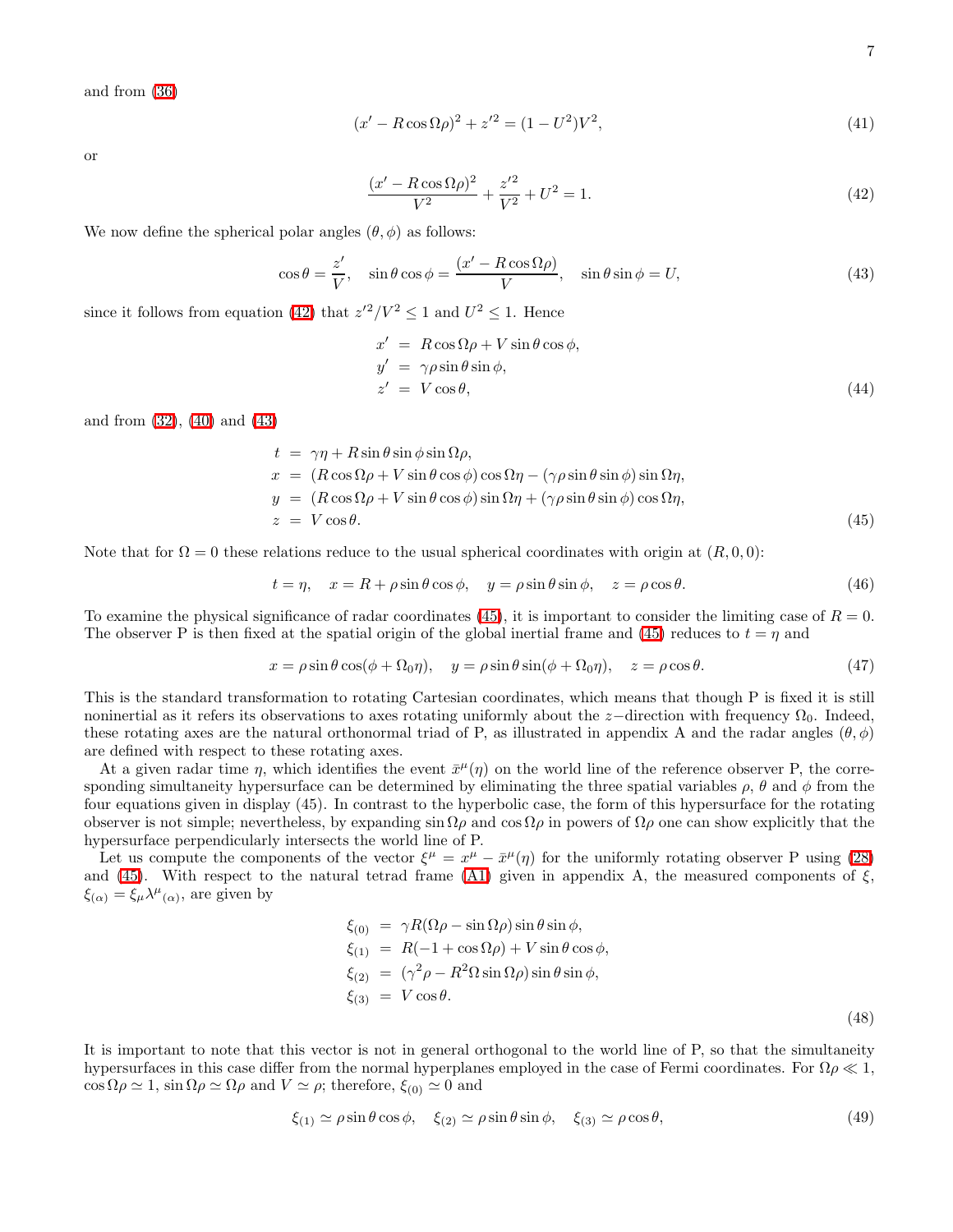and from [\(36\)](#page-5-2)

$$
(x' - R\cos\Omega\rho)^2 + z'^2 = (1 - U^2)V^2,
$$
\n(41)

or

$$
\frac{(x'-R\cos\Omega\rho)^2}{V^2} + \frac{z'^2}{V^2} + U^2 = 1.
$$
\n(42)

<span id="page-6-1"></span>We now define the spherical polar angles  $(\theta, \phi)$  as follows:

<span id="page-6-3"></span><span id="page-6-0"></span>
$$
\cos \theta = \frac{z'}{V}, \quad \sin \theta \cos \phi = \frac{(x' - R \cos \Omega \rho)}{V}, \quad \sin \theta \sin \phi = U,\tag{43}
$$

since it follows from equation [\(42\)](#page-6-0) that  $z'^2/V^2 \le 1$  and  $U^2 \le 1$ . Hence

$$
x' = R\cos\Omega\rho + V\sin\theta\cos\phi,
$$
  
\n
$$
y' = \gamma\rho\sin\theta\sin\phi,
$$
  
\n
$$
z' = V\cos\theta,
$$
\n(44)

<span id="page-6-2"></span>and from [\(32\)](#page-5-3), [\(40\)](#page-5-4) and [\(43\)](#page-6-1)

$$
t = \gamma \eta + R \sin \theta \sin \phi \sin \Omega \rho,
$$
  
\n
$$
x = (R \cos \Omega \rho + V \sin \theta \cos \phi) \cos \Omega \eta - (\gamma \rho \sin \theta \sin \phi) \sin \Omega \eta,
$$
  
\n
$$
y = (R \cos \Omega \rho + V \sin \theta \cos \phi) \sin \Omega \eta + (\gamma \rho \sin \theta \sin \phi) \cos \Omega \eta,
$$
  
\n
$$
z = V \cos \theta.
$$
\n(45)

Note that for  $\Omega = 0$  these relations reduce to the usual spherical coordinates with origin at  $(R, 0, 0)$ :

$$
t = \eta, \quad x = R + \rho \sin \theta \cos \phi, \quad y = \rho \sin \theta \sin \phi, \quad z = \rho \cos \theta. \tag{46}
$$

To examine the physical significance of radar coordinates [\(45\)](#page-6-2), it is important to consider the limiting case of  $R = 0$ . The observer P is then fixed at the spatial origin of the global inertial frame and [\(45\)](#page-6-2) reduces to  $t = \eta$  and

$$
x = \rho \sin \theta \cos(\phi + \Omega_0 \eta), \quad y = \rho \sin \theta \sin(\phi + \Omega_0 \eta), \quad z = \rho \cos \theta. \tag{47}
$$

This is the standard transformation to rotating Cartesian coordinates, which means that though P is fixed it is still noninertial as it refers its observations to axes rotating uniformly about the z−direction with frequency  $\Omega_0$ . Indeed, these rotating axes are the natural orthonormal triad of P, as illustrated in appendix A and the radar angles  $(\theta, \phi)$ are defined with respect to these rotating axes.

At a given radar time  $\eta$ , which identifies the event  $\bar{x}^{\mu}(\eta)$  on the world line of the reference observer P, the corresponding simultaneity hypersurface can be determined by eliminating the three spatial variables  $\rho$ ,  $\theta$  and  $\phi$  from the four equations given in display (45). In contrast to the hyperbolic case, the form of this hypersurface for the rotating observer is not simple; nevertheless, by expanding  $\sin \Omega \rho$  and  $\cos \Omega \rho$  in powers of  $\Omega \rho$  one can show explicitly that the hypersurface perpendicularly intersects the world line of P.

Let us compute the components of the vector  $\xi^{\mu} = x^{\mu} - \bar{x}^{\mu}(\eta)$  for the uniformly rotating observer P using [\(28\)](#page-5-5) and [\(45\)](#page-6-2). With respect to the natural tetrad frame [\(A1\)](#page-8-0) given in appendix A, the measured components of  $\xi$ ,  $\xi_{(\alpha)} = \xi_{\mu} \lambda^{\mu}{}_{(\alpha)}$ , are given by

$$
\xi_{(0)} = \gamma R(\Omega \rho - \sin \Omega \rho) \sin \theta \sin \phi,
$$
  
\n
$$
\xi_{(1)} = R(-1 + \cos \Omega \rho) + V \sin \theta \cos \phi,
$$
  
\n
$$
\xi_{(2)} = (\gamma^2 \rho - R^2 \Omega \sin \Omega \rho) \sin \theta \sin \phi,
$$
  
\n
$$
\xi_{(3)} = V \cos \theta.
$$
  
\n(48)

It is important to note that this vector is not in general orthogonal to the world line of P, so that the simultaneity hypersurfaces in this case differ from the normal hyperplanes employed in the case of Fermi coordinates. For  $\Omega \rho \ll 1$ ,  $\cos \Omega \rho \simeq 1$ ,  $\sin \Omega \rho \simeq \Omega \rho$  and  $V \simeq \rho$ ; therefore,  $\xi_{(0)} \simeq 0$  and

$$
\xi_{(1)} \simeq \rho \sin \theta \cos \phi, \quad \xi_{(2)} \simeq \rho \sin \theta \sin \phi, \quad \xi_{(3)} \simeq \rho \cos \theta,\tag{49}
$$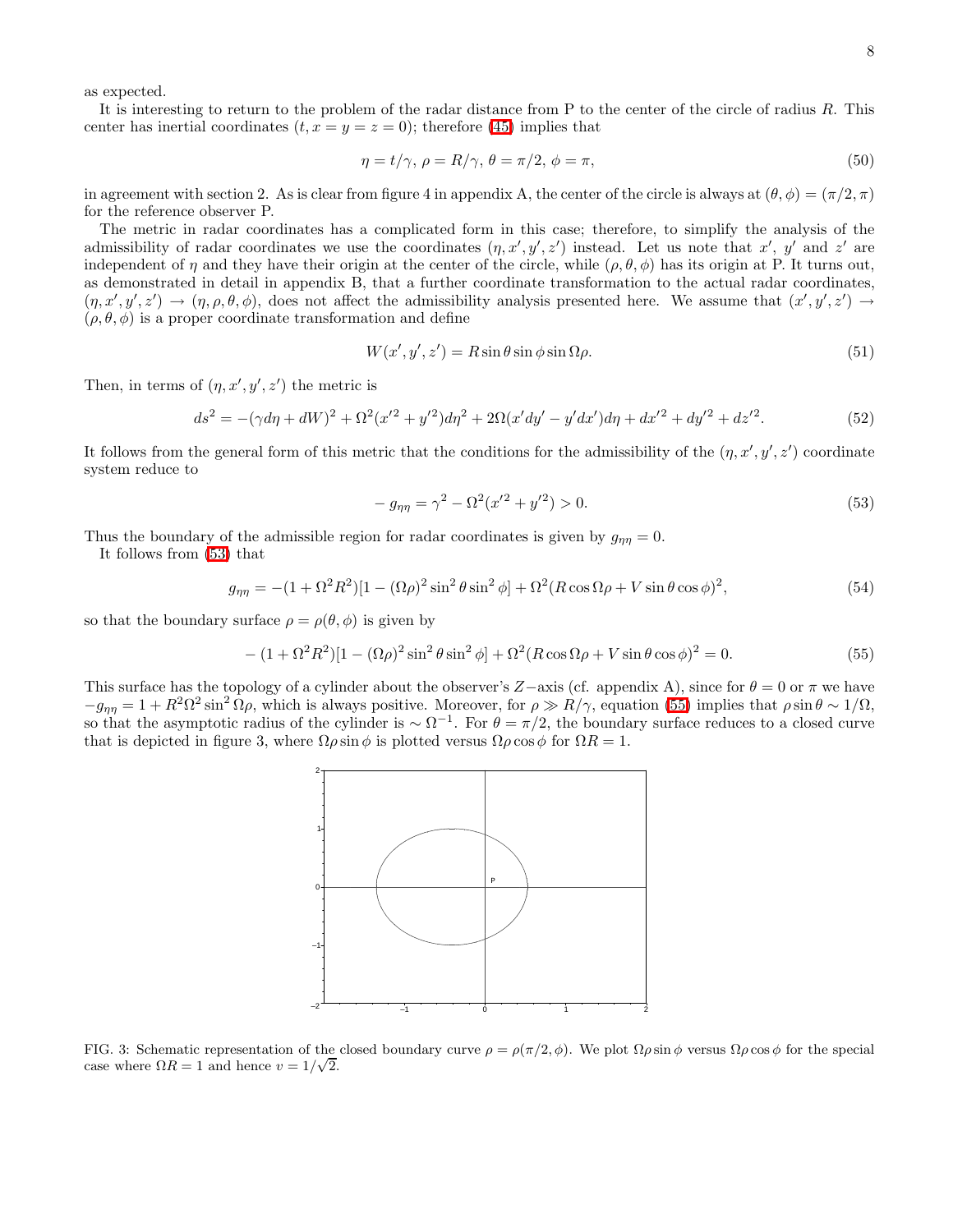It is interesting to return to the problem of the radar distance from P to the center of the circle of radius R. This center has inertial coordinates  $(t, x = y = z = 0)$ ; therefore [\(45\)](#page-6-2) implies that

$$
\eta = t/\gamma, \ \rho = R/\gamma, \ \theta = \pi/2, \ \phi = \pi,\tag{50}
$$

in agreement with section 2. As is clear from figure 4 in appendix A, the center of the circle is always at  $(\theta, \phi) = (\pi/2, \pi)$ for the reference observer P.

The metric in radar coordinates has a complicated form in this case; therefore, to simplify the analysis of the admissibility of radar coordinates we use the coordinates  $(\eta, x', y', z')$  instead. Let us note that  $x', y'$  and  $z'$  are independent of  $\eta$  and they have their origin at the center of the circle, while  $(\rho, \theta, \phi)$  has its origin at P. It turns out, as demonstrated in detail in appendix B, that a further coordinate transformation to the actual radar coordinates,  $(\eta, x', y', z') \rightarrow (\eta, \rho, \theta, \phi)$ , does not affect the admissibility analysis presented here. We assume that  $(x', y', z') \rightarrow$  $(\rho, \theta, \phi)$  is a proper coordinate transformation and define

$$
W(x', y', z') = R \sin \theta \sin \phi \sin \Omega \rho.
$$
\n(51)

<span id="page-7-2"></span>Then, in terms of  $(\eta, x', y', z')$  the metric is

<span id="page-7-0"></span>
$$
ds^{2} = -(\gamma d\eta + dW)^{2} + \Omega^{2}(x'^{2} + y'^{2})d\eta^{2} + 2\Omega(x'dy' - y'dx')d\eta + dx'^{2} + dy'^{2} + dz'^{2}.
$$
 (52)

It follows from the general form of this metric that the conditions for the admissibility of the  $(\eta, x', y', z')$  coordinate system reduce to

$$
-g_{\eta\eta} = \gamma^2 - \Omega^2 (x^{\prime 2} + y^{\prime 2}) > 0. \tag{53}
$$

Thus the boundary of the admissible region for radar coordinates is given by  $g_{\eta\eta} = 0$ .

It follows from [\(53\)](#page-7-0) that

$$
g_{\eta\eta} = -(1 + \Omega^2 R^2)[1 - (\Omega \rho)^2 \sin^2 \theta \sin^2 \phi] + \Omega^2 (R \cos \Omega \rho + V \sin \theta \cos \phi)^2,
$$
\n(54)

<span id="page-7-1"></span>so that the boundary surface  $\rho = \rho(\theta, \phi)$  is given by

$$
-(1+\Omega^2 R^2)[1-(\Omega\rho)^2\sin^2\theta\sin^2\phi]+\Omega^2(R\cos\Omega\rho+V\sin\theta\cos\phi)^2=0.
$$
\n(55)

This surface has the topology of a cylinder about the observer's Z−axis (cf. appendix A), since for  $\theta = 0$  or  $\pi$  we have  $-g_{\eta\eta} = 1 + R^2 \Omega^2 \sin^2 \Omega \rho$ , which is always positive. Moreover, for  $\rho \gg R/\gamma$ , equation [\(55\)](#page-7-1) implies that  $\rho \sin \theta \sim 1/\Omega$ , so that the asymptotic radius of the cylinder is  $\sim \Omega^{-1}$ . For  $\theta = \pi/2$ , the boundary surface reduces to a closed curve that is depicted in figure 3, where  $\Omega \rho \sin \phi$  is plotted versus  $\Omega \rho \cos \phi$  for  $\Omega R = 1$ .



FIG. 3: Schematic representation of the closed boundary curve  $\rho = \rho(\pi/2, \phi)$ . We plot  $\Omega \rho \sin \phi$  versus  $\Omega \rho \cos \phi$  for the special case where  $\Omega R = 1$  and hence  $v = 1/\sqrt{2}$ .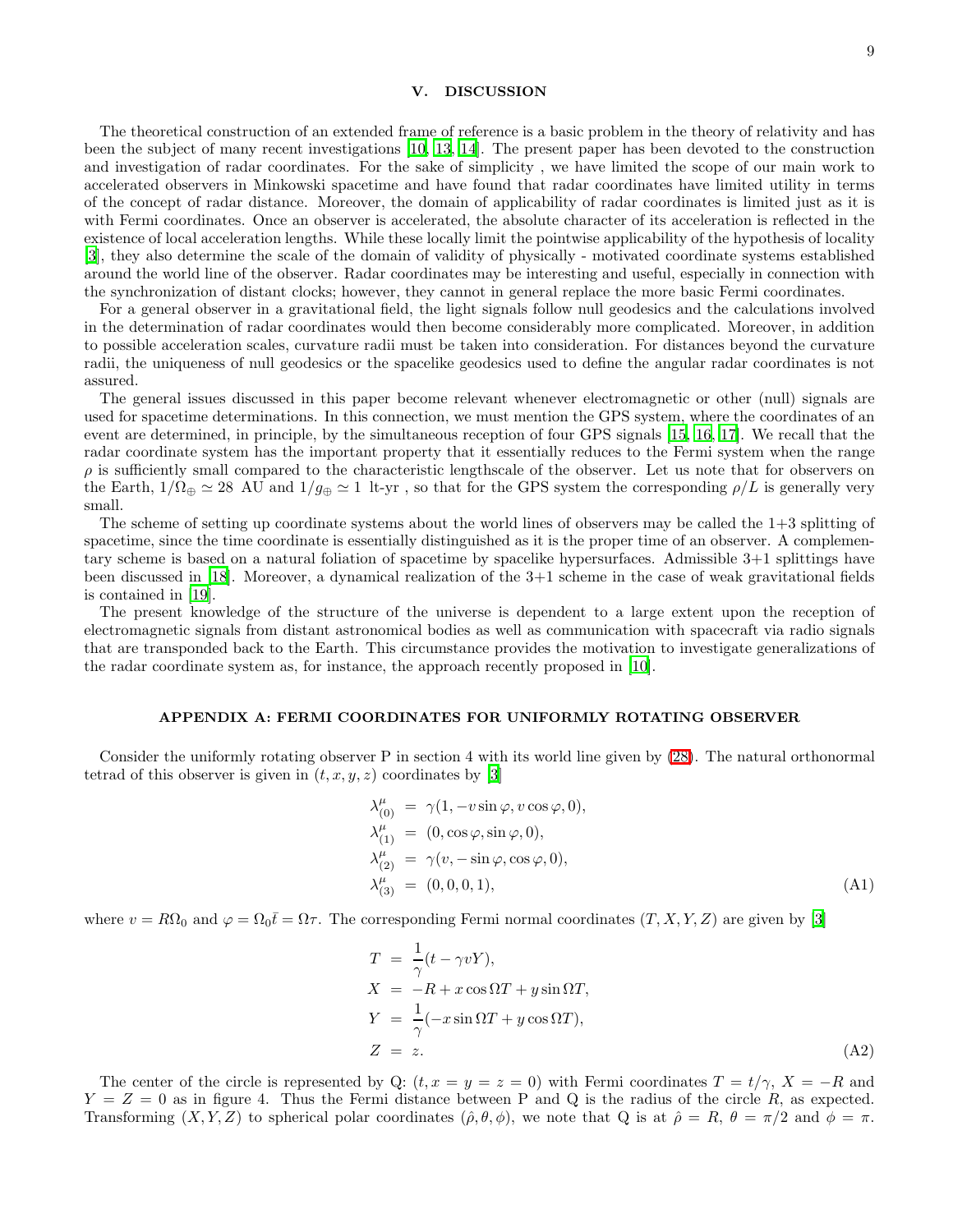#### V. DISCUSSION

The theoretical construction of an extended frame of reference is a basic problem in the theory of relativity and has been the subject of many recent investigations [\[10,](#page-10-9) [13,](#page-10-12) [14](#page-11-0)]. The present paper has been devoted to the construction and investigation of radar coordinates. For the sake of simplicity , we have limited the scope of our main work to accelerated observers in Minkowski spacetime and have found that radar coordinates have limited utility in terms of the concept of radar distance. Moreover, the domain of applicability of radar coordinates is limited just as it is with Fermi coordinates. Once an observer is accelerated, the absolute character of its acceleration is reflected in the existence of local acceleration lengths. While these locally limit the pointwise applicability of the hypothesis of locality [\[3\]](#page-10-2), they also determine the scale of the domain of validity of physically - motivated coordinate systems established around the world line of the observer. Radar coordinates may be interesting and useful, especially in connection with the synchronization of distant clocks; however, they cannot in general replace the more basic Fermi coordinates.

For a general observer in a gravitational field, the light signals follow null geodesics and the calculations involved in the determination of radar coordinates would then become considerably more complicated. Moreover, in addition to possible acceleration scales, curvature radii must be taken into consideration. For distances beyond the curvature radii, the uniqueness of null geodesics or the spacelike geodesics used to define the angular radar coordinates is not assured.

The general issues discussed in this paper become relevant whenever electromagnetic or other (null) signals are used for spacetime determinations. In this connection, we must mention the GPS system, where the coordinates of an event are determined, in principle, by the simultaneous reception of four GPS signals [\[15](#page-11-1), [16](#page-11-2), [17](#page-11-3)]. We recall that the radar coordinate system has the important property that it essentially reduces to the Fermi system when the range  $\rho$  is sufficiently small compared to the characteristic lengthscale of the observer. Let us note that for observers on the Earth,  $1/\Omega_{\oplus} \simeq 28$  AU and  $1/g_{\oplus} \simeq 1$  lt-yr, so that for the GPS system the corresponding  $\rho/L$  is generally very small.

The scheme of setting up coordinate systems about the world lines of observers may be called the 1+3 splitting of spacetime, since the time coordinate is essentially distinguished as it is the proper time of an observer. A complementary scheme is based on a natural foliation of spacetime by spacelike hypersurfaces. Admissible 3+1 splittings have been discussed in [\[18\]](#page-11-4). Moreover, a dynamical realization of the 3+1 scheme in the case of weak gravitational fields is contained in [\[19\]](#page-11-5).

The present knowledge of the structure of the universe is dependent to a large extent upon the reception of electromagnetic signals from distant astronomical bodies as well as communication with spacecraft via radio signals that are transponded back to the Earth. This circumstance provides the motivation to investigate generalizations of the radar coordinate system as, for instance, the approach recently proposed in [\[10](#page-10-9)].

## APPENDIX A: FERMI COORDINATES FOR UNIFORMLY ROTATING OBSERVER

Consider the uniformly rotating observer P in section 4 with its world line given by [\(28\)](#page-5-5). The natural orthonormal tetrad of this observer is given in  $(t, x, y, z)$  coordinates by [\[3](#page-10-2)]

<span id="page-8-0"></span>
$$
\lambda_{(0)}^{\mu} = \gamma(1, -v\sin\varphi, v\cos\varphi, 0),
$$
  
\n
$$
\lambda_{(1)}^{\mu} = (0, \cos\varphi, \sin\varphi, 0),
$$
  
\n
$$
\lambda_{(2)}^{\mu} = \gamma(v, -\sin\varphi, \cos\varphi, 0),
$$
  
\n
$$
\lambda_{(3)}^{\mu} = (0, 0, 0, 1),
$$
\n(A1)

where  $v = R\Omega_0$  and  $\varphi = \Omega_0 \bar{t} = \Omega \tau$ . The corresponding Fermi normal coordinates  $(T, X, Y, Z)$  are given by [\[3\]](#page-10-2)

<span id="page-8-1"></span>
$$
T = \frac{1}{\gamma}(t - \gamma vY),
$$
  
\n
$$
X = -R + x \cos \Omega T + y \sin \Omega T,
$$
  
\n
$$
Y = \frac{1}{\gamma}(-x \sin \Omega T + y \cos \Omega T),
$$
  
\n
$$
Z = z.
$$
 (A2)

The center of the circle is represented by Q:  $(t, x = y = z = 0)$  with Fermi coordinates  $T = t/\gamma$ ,  $X = -R$  and  $Y = Z = 0$  as in figure 4. Thus the Fermi distance between P and Q is the radius of the circle R, as expected. Transforming  $(X, Y, Z)$  to spherical polar coordinates  $(\hat{\rho}, \theta, \phi)$ , we note that Q is at  $\hat{\rho} = R$ ,  $\theta = \pi/2$  and  $\phi = \pi$ .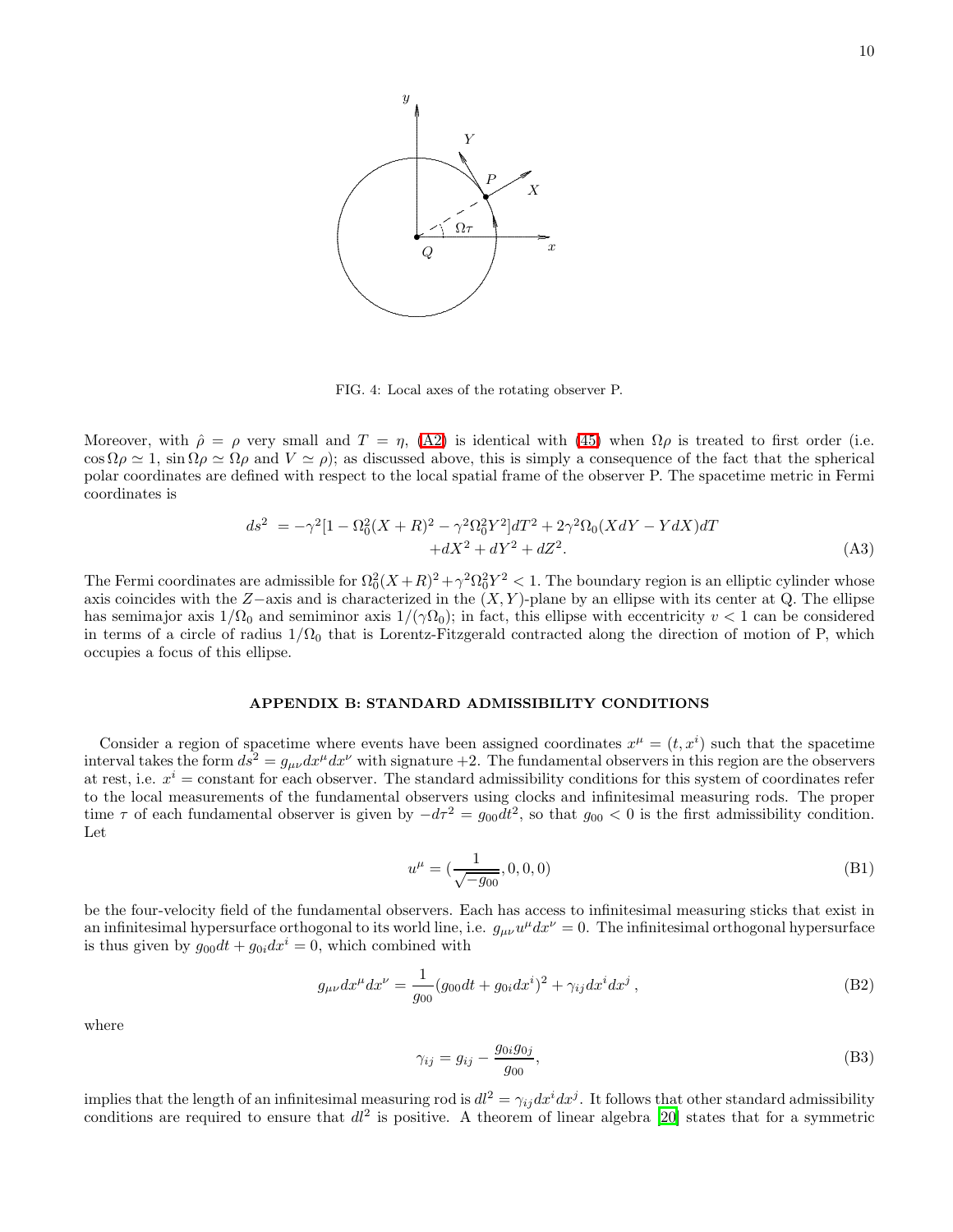

FIG. 4: Local axes of the rotating observer P.

Moreover, with  $\hat{\rho} = \rho$  very small and  $T = \eta$ , (A2) is identical with (45) when  $\Omega \rho$  is treated to first order (i.e.  $\cos\Omega\rho \simeq 1$ ,  $\sin\Omega\rho \simeq \Omega\rho$  and  $V \simeq \rho$ ); as discussed above, this is simply a consequence of the fact that the spherical polar coordinates are defined with respect to the local spatial frame of the observer P. The spacetime metric in Fermi coordinates is

$$
ds^{2} = -\gamma^{2} [1 - \Omega_{0}^{2} (X + R)^{2} - \gamma^{2} \Omega_{0}^{2} Y^{2}] dT^{2} + 2\gamma^{2} \Omega_{0} (X dY - Y dX) dT + dX^{2} + dY^{2} + dZ^{2}.
$$
 (A3)

The Fermi coordinates are admissible for  $\Omega_0^2 (X + R)^2 + \gamma^2 \Omega_0^2 Y^2 < 1$ . The boundary region is an elliptic cylinder whose axis coincides with the Z-axis and is characterized in the  $(X, Y)$ -plane by an ellipse with its center at Q. The ellipse has semimajor axis  $1/\Omega_0$  and semiminor axis  $1/(\gamma\Omega_0)$ ; in fact, this ellipse with eccentricity  $v < 1$  can be considered in terms of a circle of radius  $1/\Omega_0$  that is Lorentz-Fitzgerald contracted along the direction of motion of P, which occupies a focus of this ellipse.

### APPENDIX B: STANDARD ADMISSIBILITY CONDITIONS

Consider a region of spacetime where events have been assigned coordinates  $x^{\mu} = (t, x^{i})$  such that the spacetime interval takes the form  $d\overline{s}^2 = g_{\mu\nu}dx^{\mu}dx^{\nu}$  with signature +2. The fundamental observers in this region are the observers at rest, i.e.  $x^i$  = constant for each observer. The standard admissibility conditions for this system of coordinates refer to the local measurements of the fundamental observers using clocks and infinitesimal measuring rods. The proper time  $\tau$  of each fundamental observer is given by  $-d\tau^2 = g_{00}dt^2$ , so that  $g_{00} < 0$  is the first admissibility condition. Let

$$
u^{\mu} = \left(\frac{1}{\sqrt{-g_{00}}}, 0, 0, 0\right) \tag{B1}
$$

be the four-velocity field of the fundamental observers. Each has access to infinitesimal measuring sticks that exist in an infinitesimal hypersurface orthogonal to its world line, i.e.  $g_{\mu\nu}u^{\mu}dx^{\nu} = 0$ . The infinitesimal orthogonal hypersurface is thus given by  $g_{00}dt + g_{0i}dx^i = 0$ , which combined with

<span id="page-9-0"></span>
$$
g_{\mu\nu}dx^{\mu}dx^{\nu} = \frac{1}{g_{00}}(g_{00}dt + g_{0i}dx^{i})^{2} + \gamma_{ij}dx^{i}dx^{j}, \qquad (B2)
$$

where

$$
\gamma_{ij} = g_{ij} - \frac{g_{0i}g_{0j}}{g_{00}},\tag{B3}
$$

implies that the length of an infinitesimal measuring rod is  $dl^2 = \gamma_{ij} dx^i dx^j$ . It follows that other standard admissibility conditions are required to ensure that  $dl^2$  is positive. A theorem of linear algebra [20] states that for a symmetric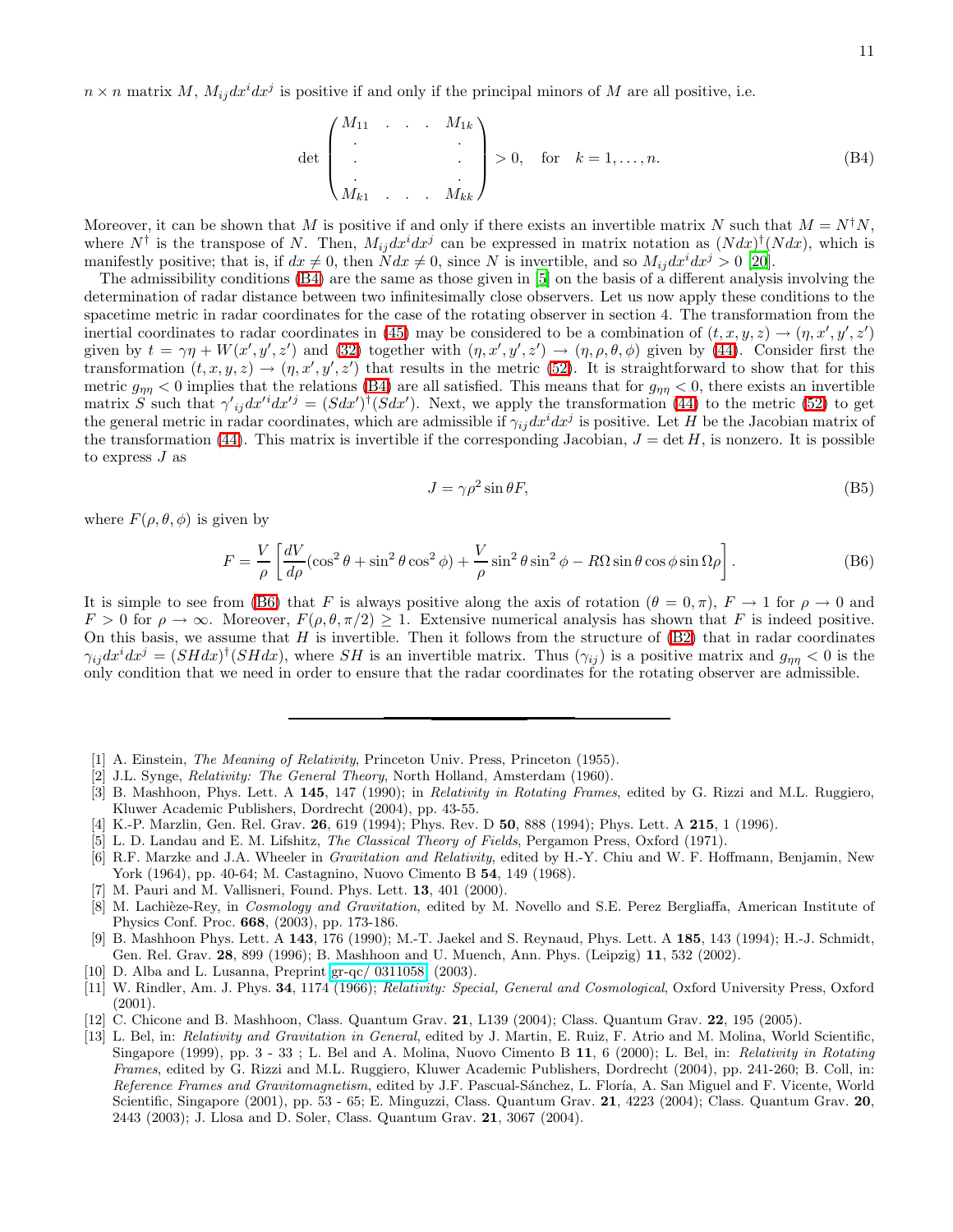$n \times n$  matrix M,  $M_{ij}dx^idx^j$  is positive if and only if the principal minors of M are all positive, i.e.

<span id="page-10-13"></span>
$$
\det \begin{pmatrix} M_{11} & \cdots & M_{1k} \\ \vdots & & \vdots \\ M_{k1} & \cdots & M_{kk} \end{pmatrix} > 0, \text{ for } k = 1, \ldots, n. \tag{B4}
$$

Moreover, it can be shown that M is positive if and only if there exists an invertible matrix N such that  $M = N^{\dagger}N$ , where  $N^{\dagger}$  is the transpose of N. Then,  $M_{ij}dx^idx^j$  can be expressed in matrix notation as  $(Ndx)^{\dagger}(Ndx)$ , which is manifestly positive; that is, if  $dx \neq 0$ , then  $N dx \neq 0$ , since N is invertible, and so  $M_{ij}dx^i dx^j > 0$  [\[20](#page-11-6)].

The admissibility conditions [\(B4\)](#page-10-13) are the same as those given in [\[5](#page-10-4)] on the basis of a different analysis involving the determination of radar distance between two infinitesimally close observers. Let us now apply these conditions to the spacetime metric in radar coordinates for the case of the rotating observer in section 4. The transformation from the inertial coordinates to radar coordinates in [\(45\)](#page-6-2) may be considered to be a combination of  $(t, x, y, z) \rightarrow (\eta, x', y', z')$ given by  $t = \gamma \eta + W(x', y', z')$  and [\(32\)](#page-5-3) together with  $(\eta, x', y', z') \to (\eta, \rho, \theta, \phi)$  given by [\(44\)](#page-6-3). Consider first the transformation  $(t, x, y, z) \rightarrow (\eta, x', y', z')$  that results in the metric [\(52\)](#page-7-2). It is straightforward to show that for this metric  $g_{\eta\eta} < 0$  implies that the relations [\(B4\)](#page-10-13) are all satisfied. This means that for  $g_{\eta\eta} < 0$ , there exists an invertible matrix S such that  $\gamma'_{ij}dx'^i dx'^j = (Sdx')^{\dagger} (Sdx')$ . Next, we apply the transformation [\(44\)](#page-6-3) to the metric [\(52\)](#page-7-2) to get the general metric in radar coordinates, which are admissible if  $\gamma_{ij}dx^idx^j$  is positive. Let H be the Jacobian matrix of the transformation [\(44\)](#page-6-3). This matrix is invertible if the corresponding Jacobian,  $J = \det H$ , is nonzero. It is possible to express  $J$  as

$$
J = \gamma \rho^2 \sin \theta F,\tag{B5}
$$

<span id="page-10-14"></span>where  $F(\rho, \theta, \phi)$  is given by

$$
F = \frac{V}{\rho} \left[ \frac{dV}{d\rho} (\cos^2 \theta + \sin^2 \theta \cos^2 \phi) + \frac{V}{\rho} \sin^2 \theta \sin^2 \phi - R\Omega \sin \theta \cos \phi \sin \Omega \rho \right].
$$
 (B6)

It is simple to see from [\(B6\)](#page-10-14) that F is always positive along the axis of rotation ( $\theta = 0, \pi$ ),  $F \to 1$  for  $\rho \to 0$  and  $F > 0$  for  $\rho \to \infty$ . Moreover,  $F(\rho, \theta, \pi/2) \geq 1$ . Extensive numerical analysis has shown that F is indeed positive. On this basis, we assume that  $H$  is invertible. Then it follows from the structure of  $(B2)$  that in radar coordinates  $\gamma_{ij}dx^idx^j = (SHdx)^{\dagger}(SHdx)$ , where SH is an invertible matrix. Thus  $(\gamma_{ij})$  is a positive matrix and  $g_{\eta\eta} < 0$  is the only condition that we need in order to ensure that the radar coordinates for the rotating observer are admissible.

- <span id="page-10-0"></span>[1] A. Einstein, *The Meaning of Relativity*, Princeton Univ. Press, Princeton (1955).
- [2] J.L. Synge, *Relativity: The General Theory*, North Holland, Amsterdam (1960).
- <span id="page-10-2"></span><span id="page-10-1"></span>[3] B. Mashhoon, Phys. Lett. A 145, 147 (1990); in *Relativity in Rotating Frames*, edited by G. Rizzi and M.L. Ruggiero, Kluwer Academic Publishers, Dordrecht (2004), pp. 43-55.
- <span id="page-10-3"></span>[4] K.-P. Marzlin, Gen. Rel. Grav. 26, 619 (1994); Phys. Rev. D 50, 888 (1994); Phys. Lett. A 215, 1 (1996).
- [5] L. D. Landau and E. M. Lifshitz, *The Classical Theory of Fields*, Pergamon Press, Oxford (1971).
- <span id="page-10-5"></span><span id="page-10-4"></span>[6] R.F. Marzke and J.A. Wheeler in *Gravitation and Relativity*, edited by H.-Y. Chiu and W. F. Hoffmann, Benjamin, New York (1964), pp. 40-64; M. Castagnino, Nuovo Cimento B 54, 149 (1968).
- [7] M. Pauri and M. Vallisneri, Found. Phys. Lett. 13, 401 (2000).
- <span id="page-10-7"></span><span id="page-10-6"></span>[8] M. Lachièze-Rey, in *Cosmology and Gravitation*, edited by M. Novello and S.E. Perez Bergliaffa, American Institute of Physics Conf. Proc. 668, (2003), pp. 173-186.
- <span id="page-10-8"></span>[9] B. Mashhoon Phys. Lett. A 143, 176 (1990); M.-T. Jaekel and S. Reynaud, Phys. Lett. A 185, 143 (1994); H.-J. Schmidt, Gen. Rel. Grav. 28, 899 (1996); B. Mashhoon and U. Muench, Ann. Phys. (Leipzig) 11, 532 (2002).
- <span id="page-10-9"></span>[10] D. Alba and L. Lusanna, Preprint [gr-qc/ 0311058,](http://arXiv.org/abs/gr-qc/0311058) (2003).
- <span id="page-10-10"></span>[11] W. Rindler, Am. J. Phys. 34, 1174 (1966); *Relativity: Special, General and Cosmological*, Oxford University Press, Oxford (2001).
- <span id="page-10-11"></span>[12] C. Chicone and B. Mashhoon, Class. Quantum Grav. 21, L139 (2004); Class. Quantum Grav. 22, 195 (2005).
- <span id="page-10-12"></span>[13] L. Bel, in: *Relativity and Gravitation in General*, edited by J. Martin, E. Ruiz, F. Atrio and M. Molina, World Scientific, Singapore (1999), pp. 3 - 33 ; L. Bel and A. Molina, Nuovo Cimento B 11, 6 (2000); L. Bel, in: *Relativity in Rotating Frames*, edited by G. Rizzi and M.L. Ruggiero, Kluwer Academic Publishers, Dordrecht (2004), pp. 241-260; B. Coll, in: *Reference Frames and Gravitomagnetism*, edited by J.F. Pascual-S´anchez, L. Flor´ıa, A. San Miguel and F. Vicente, World Scientific, Singapore (2001), pp. 53 - 65; E. Minguzzi, Class. Quantum Grav. 21, 4223 (2004); Class. Quantum Grav. 20, 2443 (2003); J. Llosa and D. Soler, Class. Quantum Grav. 21, 3067 (2004).